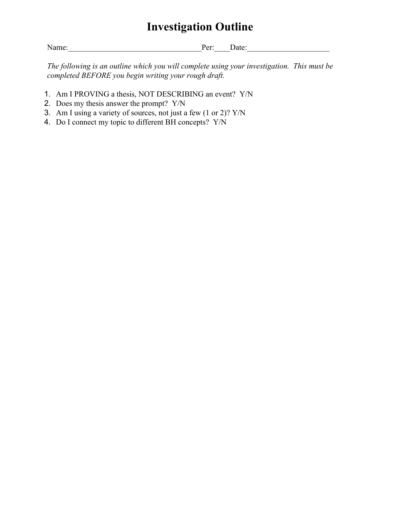## **Investigation Outline**

Name:\_\_\_\_\_\_\_\_\_\_\_\_\_\_\_\_\_\_\_\_\_\_\_\_\_\_\_\_\_\_\_\_\_\_Per:\_\_\_\_Date:\_\_\_\_\_\_\_\_\_\_\_\_\_\_\_\_\_\_\_\_\_

*The following is an outline which you will complete using your investigation. This must be completed BEFORE you begin writing your rough draft.*

- 1. Am I PROVING a thesis, NOT DESCRIBING an event? Y/N
- 2. Does my thesis answer the prompt? Y/N
- 3. Am I using a variety of sources, not just a few (1 or 2)? Y/N
- 4. Do I connect my topic to different BH concepts? Y/N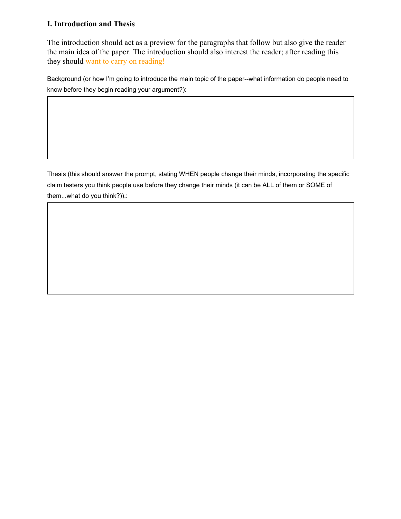## **I. Introduction and Thesis**

The introduction should act as a preview for the paragraphs that follow but also give the reader the main idea of the paper. The introduction should also interest the reader; after reading this they should want to carry on reading!

Background (or how I'm going to introduce the main topic of the paper--what information do people need to know before they begin reading your argument?):

Thesis (this should answer the prompt, stating WHEN people change their minds, incorporating the specific claim testers you think people use before they change their minds (it can be ALL of them or SOME of them...what do you think?)).: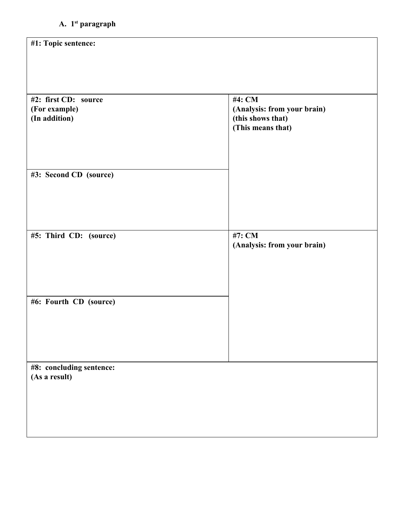| #1: Topic sentence:      |                                        |
|--------------------------|----------------------------------------|
|                          |                                        |
|                          |                                        |
| #2: first CD: source     | #4: CM                                 |
| (For example)            | (Analysis: from your brain)            |
| (In addition)            | (this shows that)<br>(This means that) |
|                          |                                        |
|                          |                                        |
| #3: Second CD (source)   |                                        |
|                          |                                        |
|                          |                                        |
|                          |                                        |
| #5: Third CD: (source)   | #7: CM                                 |
|                          | (Analysis: from your brain)            |
|                          |                                        |
|                          |                                        |
| #6: Fourth CD (source)   |                                        |
|                          |                                        |
|                          |                                        |
|                          |                                        |
| #8: concluding sentence: |                                        |
| (As a result)            |                                        |
|                          |                                        |
|                          |                                        |
|                          |                                        |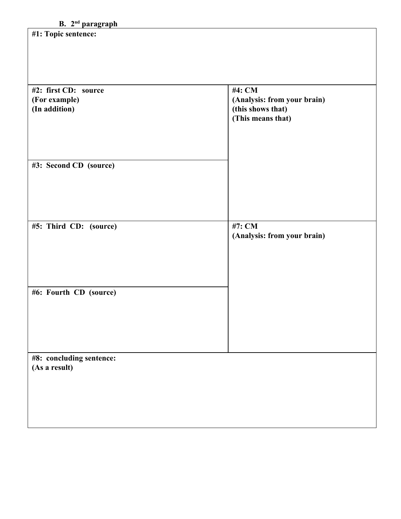## **B. 2ndparagraph**

| #1: Topic sentence:                                    |                                                                                 |
|--------------------------------------------------------|---------------------------------------------------------------------------------|
| #2: first CD: source<br>(For example)<br>(In addition) | #4: CM<br>(Analysis: from your brain)<br>(this shows that)<br>(This means that) |
| #3: Second CD (source)                                 |                                                                                 |
| #5: Third CD: (source)                                 | #7: CM<br>(Analysis: from your brain)                                           |
| #6: Fourth CD (source)                                 |                                                                                 |
| #8: concluding sentence:<br>(As a result)              |                                                                                 |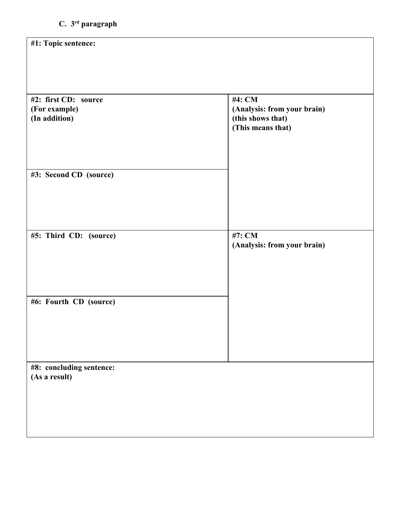| #1: Topic sentence:                       |                                        |
|-------------------------------------------|----------------------------------------|
|                                           |                                        |
|                                           |                                        |
| #2: first CD: source<br>(For example)     | #4: CM<br>(Analysis: from your brain)  |
| (In addition)                             | (this shows that)<br>(This means that) |
|                                           |                                        |
|                                           |                                        |
| #3: Second CD (source)                    |                                        |
|                                           |                                        |
|                                           |                                        |
|                                           | #7: CM                                 |
| #5: Third CD: (source)                    | (Analysis: from your brain)            |
|                                           |                                        |
|                                           |                                        |
| #6: Fourth CD (source)                    |                                        |
|                                           |                                        |
|                                           |                                        |
|                                           |                                        |
| #8: concluding sentence:<br>(As a result) |                                        |
|                                           |                                        |
|                                           |                                        |
|                                           |                                        |
|                                           |                                        |